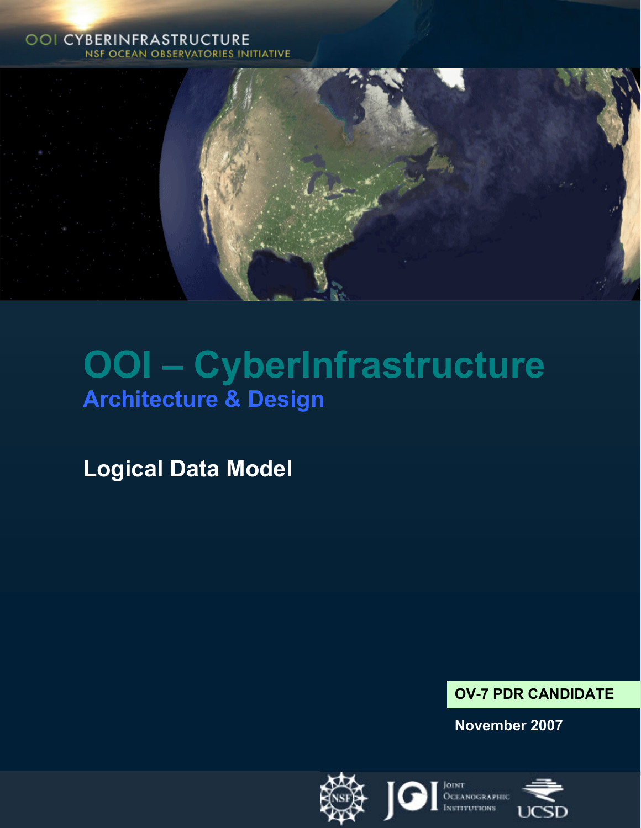## **OOI CYBERINFRASTRUCTURE NSF OCEAN OBSERVATORIES INITIATIVE**



# **OOI – CyberInfrastructure Architecture & Design**

**Logical Data Model** 



**November 2007** 

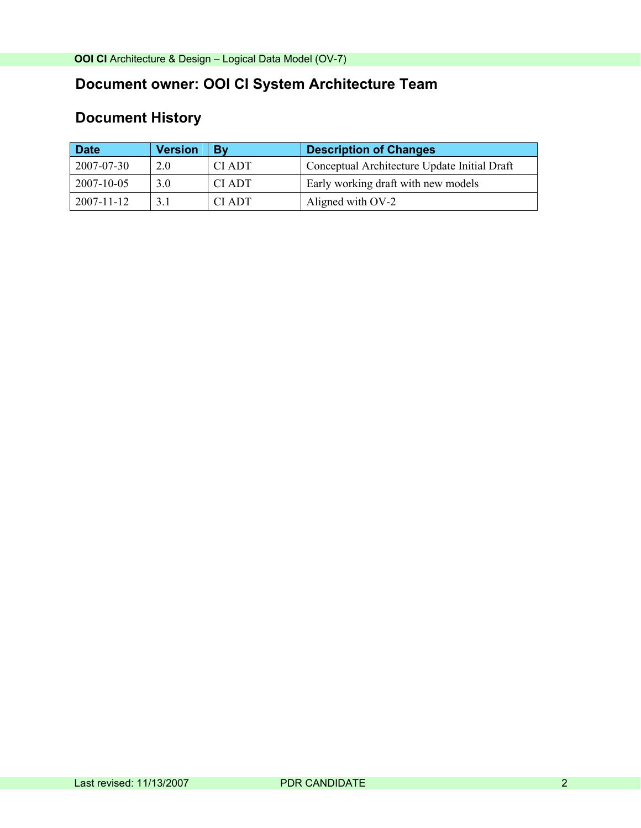# **Document owner: OOI CI System Architecture Team**

# **Document History**

| <b>Date</b> | <b>Version</b> | Bv           | <b>Description of Changes</b>                |
|-------------|----------------|--------------|----------------------------------------------|
| 2007-07-30  | 2 0            | CI ADT       | Conceptual Architecture Update Initial Draft |
| 2007-10-05  | 3.0            | <b>CIADT</b> | Early working draft with new models          |
| 2007-11-12  | 31             | CI ADT       | Aligned with OV-2                            |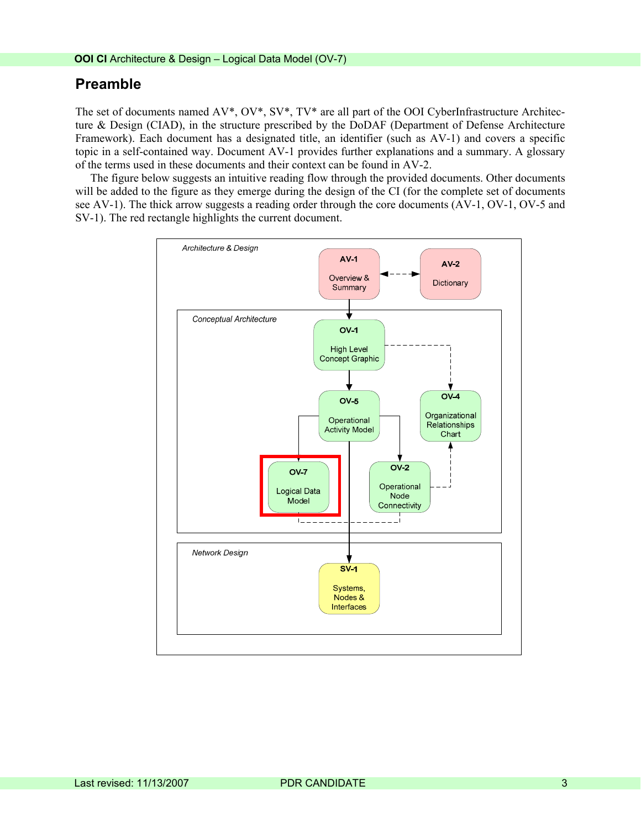### **Preamble**

The set of documents named AV\*, OV\*, SV\*, TV\* are all part of the OOI CyberInfrastructure Architecture & Design (CIAD), in the structure prescribed by the DoDAF (Department of Defense Architecture Framework). Each document has a designated title, an identifier (such as AV-1) and covers a specific topic in a self-contained way. Document AV-1 provides further explanations and a summary. A glossary of the terms used in these documents and their context can be found in AV-2.

The figure below suggests an intuitive reading flow through the provided documents. Other documents will be added to the figure as they emerge during the design of the CI (for the complete set of documents see AV-1). The thick arrow suggests a reading order through the core documents (AV-1, OV-1, OV-5 and SV-1). The red rectangle highlights the current document.

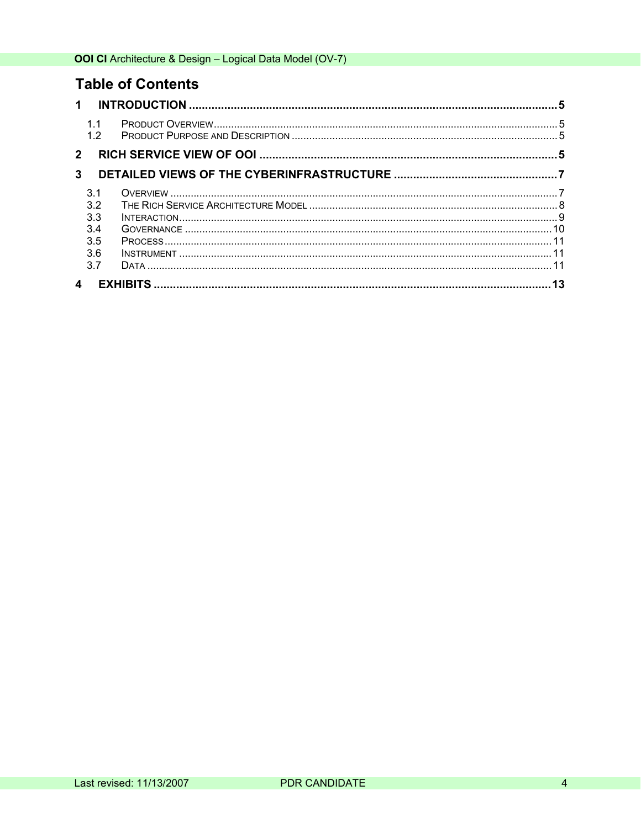# **Table of Contents**

| $\mathbf 1$  |  |  |
|--------------|--|--|
| 1.1<br>12    |  |  |
|              |  |  |
| $\mathbf{2}$ |  |  |
| 3            |  |  |
| 3.1          |  |  |
| 3.2          |  |  |
| 3.3          |  |  |
| 3.4          |  |  |
| 3.5          |  |  |
| 3.6          |  |  |
| 3.7          |  |  |
| 4            |  |  |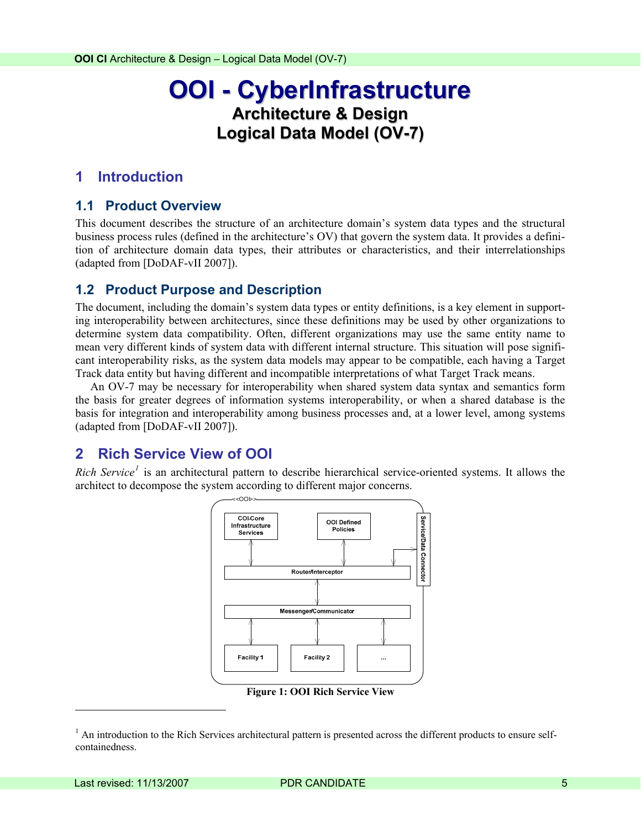# <span id="page-4-0"></span>**OOI - CyberInfrastructure Architecture & Design Logical Data Model (OV-7)**

## **1 Introduction**

#### **1.1 Product Overview**

This document describes the structure of an architecture domain's system data types and the structural business process rules (defined in the architecture's OV) that govern the system data. It provides a definition of architecture domain data types, their attributes or characteristics, and their interrelationships (adapted from [DoDAF-vII 2007]).

#### **1.2 Product Purpose and Description**

The document, including the domain's system data types or entity definitions, is a key element in supporting interoperability between architectures, since these definitions may be used by other organizations to determine system data compatibility. Often, different organizations may use the same entity name to mean very different kinds of system data with different internal structure. This situation will pose significant interoperability risks, as the system data models may appear to be compatible, each having a Target Track data entity but having different and incompatible interpretations of what Target Track means.

An OV-7 may be necessary for interoperability when shared system data syntax and semantics form the basis for greater degrees of information systems interoperability, or when a shared database is the basis for integration and interoperability among business processes and, at a lower level, among systems (adapted from [DoDAF-vII 2007]).

## **2 Rich Service View of OOI**

*Rich Service[1](#page-4-1)* is an architectural pattern to describe hierarchical service-oriented systems. It allows the architect to decompose the system according to different major concerns.

 $\sim$ 



**Figure 1: OOI Rich Service View** 

<span id="page-4-2"></span>1

<span id="page-4-1"></span> $<sup>1</sup>$  An introduction to the Rich Services architectural pattern is presented across the different products to ensure self-</sup> containedness.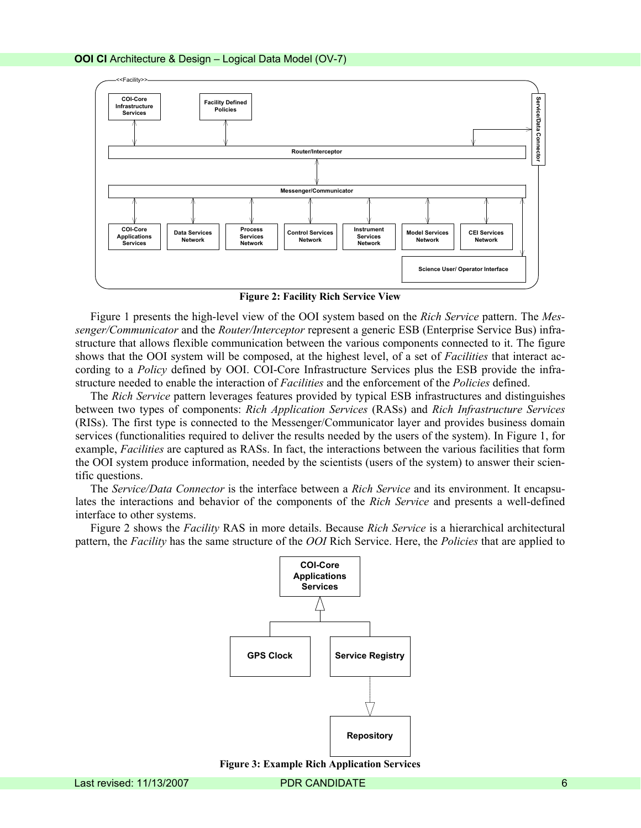

**Figure 2: Facility Rich Service View** 

<span id="page-5-0"></span>[Figure 1](#page-4-2) presents the high-level view of the OOI system based on the *Rich Service* pattern. The *Messenger/Communicator* and the *Router/Interceptor* represent a generic ESB (Enterprise Service Bus) infrastructure that allows flexible communication between the various components connected to it. The figure shows that the OOI system will be composed, at the highest level, of a set of *Facilities* that interact according to a *Policy* defined by OOI. COI-Core Infrastructure Services plus the ESB provide the infrastructure needed to enable the interaction of *Facilities* and the enforcement of the *Policies* defined.

The *Rich Service* pattern leverages features provided by typical ESB infrastructures and distinguishes between two types of components: *Rich Application Services* (RASs) and *Rich Infrastructure Services* (RISs). The first type is connected to the Messenger/Communicator layer and provides business domain services (functionalities required to deliver the results needed by the users of the system). In [Figure 1](#page-4-2), for example, *Facilities* are captured as RASs. In fact, the interactions between the various facilities that form the OOI system produce information, needed by the scientists (users of the system) to answer their scientific questions.

The *Service/Data Connector* is the interface between a *Rich Service* and its environment. It encapsulates the interactions and behavior of the components of the *Rich Service* and presents a well-defined interface to other systems.

[Figure 2](#page-5-0) shows the *Facility* RAS in more details. Because *Rich Service* is a hierarchical architectural pattern, the *Facility* has the same structure of the *OOI* Rich Service. Here, the *Policies* that are applied to



**Figure 3: Example Rich Application Services**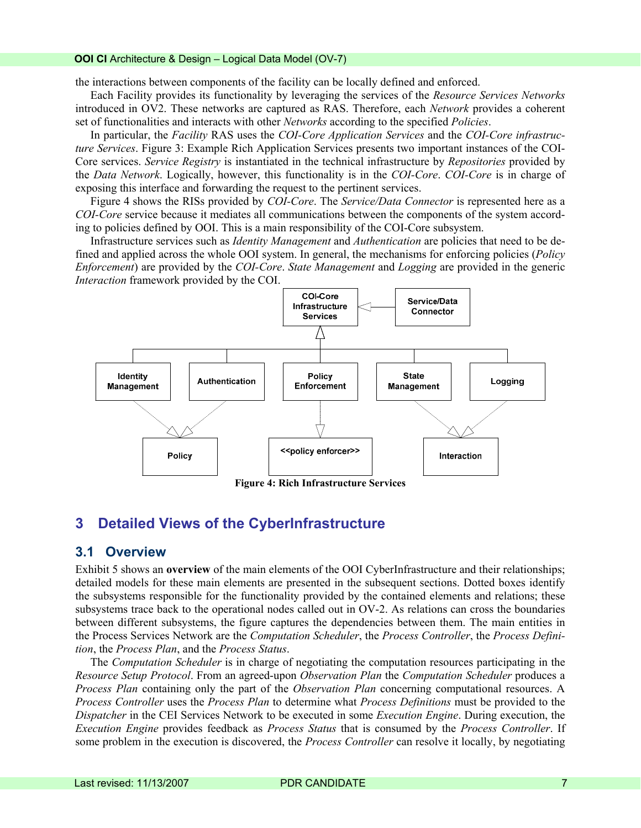<span id="page-6-0"></span>the interactions between components of the facility can be locally defined and enforced.

Each Facility provides its functionality by leveraging the services of the *Resource Services Networks*  introduced in OV2. These networks are captured as RAS. Therefore, each *Network* provides a coherent set of functionalities and interacts with other *Networks* according to the specified *Policies*.

In particular, the *Facility* RAS uses the *COI-Core Application Services* and the *COI-Core infrastruc*ture Services. Figure 3: Example Rich Application Services presents two important instances of the COI-Core services. *Service Registry* is instantiated in the technical infrastructure by *Repositories* provided by the *Data Network*. Logically, however, this functionality is in the *COI-Core*. *COI-Core* is in charge of exposing this interface and forwarding the request to the pertinent services.

[Figure 4](#page-6-1) shows the RISs provided by *COI-Core*. The *Service/Data Connector* is represented here as a *COI-Core* service because it mediates all communications between the components of the system according to policies defined by OOI. This is a main responsibility of the COI-Core subsystem.

Infrastructure services such as *Identity Management* and *Authentication* are policies that need to be defined and applied across the whole OOI system. In general, the mechanisms for enforcing policies (*Policy Enforcement*) are provided by the *COI-Core*. *State Management* and *Logging* are provided in the generic *Interaction* framework provided by the COI.



**Figure 4: Rich Infrastructure Services** 

## <span id="page-6-1"></span>**3 Detailed Views of the CyberInfrastructure**

### **3.1 Overview**

[Exhibit 5](#page-12-1) shows an **overview** of the main elements of the OOI CyberInfrastructure and their relationships; detailed models for these main elements are presented in the subsequent sections. Dotted boxes identify the subsystems responsible for the functionality provided by the contained elements and relations; these subsystems trace back to the operational nodes called out in OV-2. As relations can cross the boundaries between different subsystems, the figure captures the dependencies between them. The main entities in the Process Services Network are the *Computation Scheduler*, the *Process Controller*, the *Process Definition*, the *Process Plan*, and the *Process Status*.

The *Computation Scheduler* is in charge of negotiating the computation resources participating in the *Resource Setup Protocol*. From an agreed-upon *Observation Plan* the *Computation Scheduler* produces a *Process Plan* containing only the part of the *Observation Plan* concerning computational resources. A *Process Controller* uses the *Process Plan* to determine what *Process Definitions* must be provided to the *Dispatcher* in the CEI Services Network to be executed in some *Execution Engine*. During execution, the *Execution Engine* provides feedback as *Process Status* that is consumed by the *Process Controller*. If some problem in the execution is discovered, the *Process Controller* can resolve it locally, by negotiating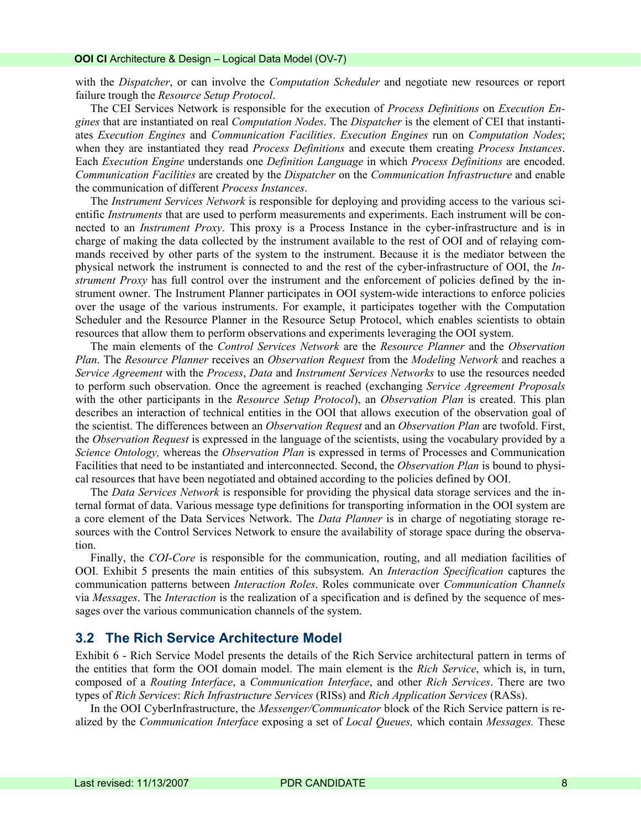<span id="page-7-0"></span>with the *Dispatcher*, or can involve the *Computation Scheduler* and negotiate new resources or report failure trough the *Resource Setup Protocol*.

The CEI Services Network is responsible for the execution of *Process Definitions* on *Execution Engines* that are instantiated on real *Computation Nodes*. The *Dispatcher* is the element of CEI that instantiates *Execution Engines* and *Communication Facilities*. *Execution Engines* run on *Computation Nodes*; when they are instantiated they read *Process Definitions* and execute them creating *Process Instances*. Each *Execution Engine* understands one *Definition Language* in which *Process Definitions* are encoded. *Communication Facilities* are created by the *Dispatcher* on the *Communication Infrastructure* and enable the communication of different *Process Instances*.

The *Instrument Services Network* is responsible for deploying and providing access to the various scientific *Instruments* that are used to perform measurements and experiments. Each instrument will be connected to an *Instrument Proxy*. This proxy is a Process Instance in the cyber-infrastructure and is in charge of making the data collected by the instrument available to the rest of OOI and of relaying commands received by other parts of the system to the instrument. Because it is the mediator between the physical network the instrument is connected to and the rest of the cyber-infrastructure of OOI, the *Instrument Proxy* has full control over the instrument and the enforcement of policies defined by the instrument owner. The Instrument Planner participates in OOI system-wide interactions to enforce policies over the usage of the various instruments. For example, it participates together with the Computation Scheduler and the Resource Planner in the Resource Setup Protocol, which enables scientists to obtain resources that allow them to perform observations and experiments leveraging the OOI system.

The main elements of the *Control Services Network* are the *Resource Planner* and the *Observation Plan*. The *Resource Planner* receives an *Observation Request* from the *Modeling Network* and reaches a *Service Agreement* with the *Process*, *Data* and *Instrument Services Networks* to use the resources needed to perform such observation. Once the agreement is reached (exchanging *Service Agreement Proposals* with the other participants in the *Resource Setup Protocol*), an *Observation Plan* is created. This plan describes an interaction of technical entities in the OOI that allows execution of the observation goal of the scientist. The differences between an *Observation Request* and an *Observation Plan* are twofold. First, the *Observation Request* is expressed in the language of the scientists, using the vocabulary provided by a *Science Ontology,* whereas the *Observation Plan* is expressed in terms of Processes and Communication Facilities that need to be instantiated and interconnected. Second, the *Observation Plan* is bound to physical resources that have been negotiated and obtained according to the policies defined by OOI.

The *Data Services Network* is responsible for providing the physical data storage services and the internal format of data. Various message type definitions for transporting information in the OOI system are a core element of the Data Services Network. The *Data Planner* is in charge of negotiating storage resources with the Control Services Network to ensure the availability of storage space during the observation.

Finally, the *COI-Core* is responsible for the communication, routing, and all mediation facilities of OOI. [Exhibit 5](#page-12-1) presents the main entities of this subsystem. An *Interaction Specification* captures the communication patterns between *Interaction Roles*. Roles communicate over *Communication Channels* via *Messages*. The *Interaction* is the realization of a specification and is defined by the sequence of messages over the various communication channels of the system.

#### **3.2 The Rich Service Architecture Model**

[Exhibit 6 - Rich Service Model](#page-13-0) presents the details of the Rich Service architectural pattern in terms of the entities that form the OOI domain model. The main element is the *Rich Service*, which is, in turn, composed of a *Routing Interface*, a *Communication Interface*, and other *Rich Services*. There are two types of *Rich Services*: *Rich Infrastructure Services* (RISs) and *Rich Application Services* (RASs).

In the OOI CyberInfrastructure, the *Messenger/Communicator* block of the Rich Service pattern is realized by the *Communication Interface* exposing a set of *Local Queues,* which contain *Messages.* These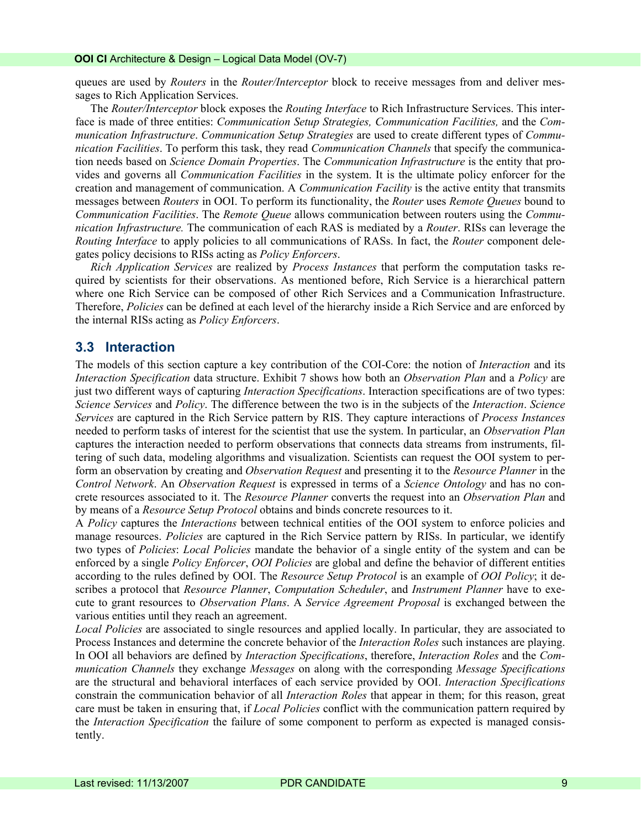<span id="page-8-0"></span>queues are used by *Routers* in the *Router/Interceptor* block to receive messages from and deliver messages to Rich Application Services.

The *Router/Interceptor* block exposes the *Routing Interface* to Rich Infrastructure Services. This interface is made of three entities: *Communication Setup Strategies, Communication Facilities,* and the *Communication Infrastructure*. *Communication Setup Strategies* are used to create different types of *Communication Facilities*. To perform this task, they read *Communication Channels* that specify the communication needs based on *Science Domain Properties*. The *Communication Infrastructure* is the entity that provides and governs all *Communication Facilities* in the system. It is the ultimate policy enforcer for the creation and management of communication. A *Communication Facility* is the active entity that transmits messages between *Routers* in OOI. To perform its functionality, the *Router* uses *Remote Queues* bound to *Communication Facilities*. The *Remote Queue* allows communication between routers using the *Communication Infrastructure.* The communication of each RAS is mediated by a *Router*. RISs can leverage the *Routing Interface* to apply policies to all communications of RASs. In fact, the *Router* component delegates policy decisions to RISs acting as *Policy Enforcers*.

*Rich Application Services* are realized by *Process Instances* that perform the computation tasks required by scientists for their observations. As mentioned before, Rich Service is a hierarchical pattern where one Rich Service can be composed of other Rich Services and a Communication Infrastructure. Therefore, *Policies* can be defined at each level of the hierarchy inside a Rich Service and are enforced by the internal RISs acting as *Policy Enforcers*.

#### **3.3 Interaction**

The models of this section capture a key contribution of the COI-Core: the notion of *Interaction* and its *Interaction Specification* data structure. [Exhibit 7](#page-14-0) shows how both an *Observation Plan* and a *Policy* are just two different ways of capturing *Interaction Specifications*. Interaction specifications are of two types: *Science Services* and *Policy*. The difference between the two is in the subjects of the *Interaction*. *Science Services* are captured in the Rich Service pattern by RIS. They capture interactions of *Process Instances* needed to perform tasks of interest for the scientist that use the system. In particular, an *Observation Plan*  captures the interaction needed to perform observations that connects data streams from instruments, filtering of such data, modeling algorithms and visualization. Scientists can request the OOI system to perform an observation by creating and *Observation Request* and presenting it to the *Resource Planner* in the *Control Network*. An *Observation Request* is expressed in terms of a *Science Ontology* and has no concrete resources associated to it. The *Resource Planner* converts the request into an *Observation Plan* and by means of a *Resource Setup Protocol* obtains and binds concrete resources to it.

A *Policy* captures the *Interactions* between technical entities of the OOI system to enforce policies and manage resources. *Policies* are captured in the Rich Service pattern by RISs. In particular, we identify two types of *Policies*: *Local Policies* mandate the behavior of a single entity of the system and can be enforced by a single *Policy Enforcer*, *OOI Policies* are global and define the behavior of different entities according to the rules defined by OOI. The *Resource Setup Protocol* is an example of *OOI Policy*; it describes a protocol that *Resource Planner*, *Computation Scheduler*, and *Instrument Planner* have to execute to grant resources to *Observation Plans*. A *Service Agreement Proposal* is exchanged between the various entities until they reach an agreement.

*Local Policies* are associated to single resources and applied locally. In particular, they are associated to Process Instances and determine the concrete behavior of the *Interaction Roles* such instances are playing. In OOI all behaviors are defined by *Interaction Specifications*, therefore, *Interaction Roles* and the *Communication Channels* they exchange *Messages* on along with the corresponding *Message Specifications* are the structural and behavioral interfaces of each service provided by OOI. *Interaction Specifications* constrain the communication behavior of all *Interaction Roles* that appear in them; for this reason, great care must be taken in ensuring that, if *Local Policies* conflict with the communication pattern required by the *Interaction Specification* the failure of some component to perform as expected is managed consistently.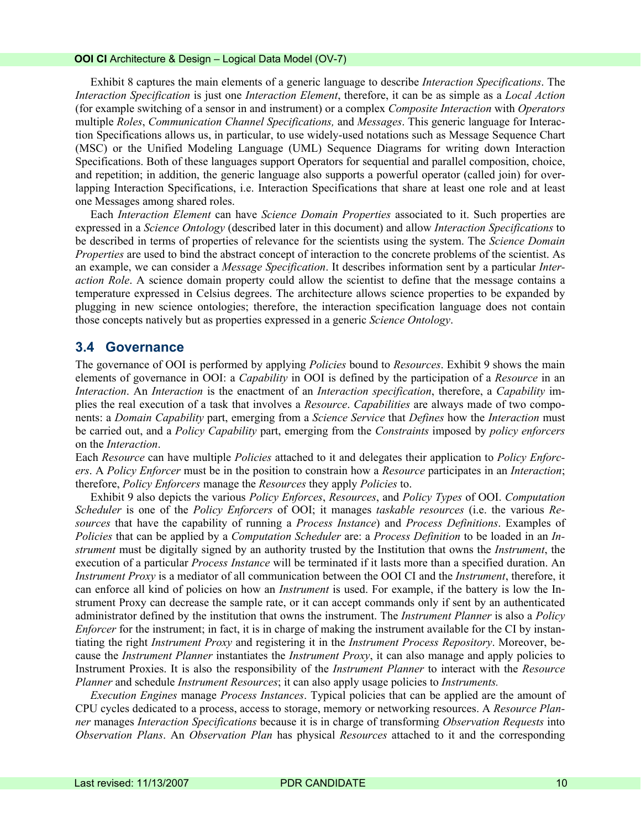<span id="page-9-0"></span>[Exhibit 8](#page-15-0) captures the main elements of a generic language to describe *Interaction Specifications*. The *Interaction Specification* is just one *Interaction Element*, therefore, it can be as simple as a *Local Action* (for example switching of a sensor in and instrument) or a complex *Composite Interaction* with *Operators*  multiple *Roles*, *Communication Channel Specifications,* and *Messages*. This generic language for Interaction Specifications allows us, in particular, to use widely-used notations such as Message Sequence Chart (MSC) or the Unified Modeling Language (UML) Sequence Diagrams for writing down Interaction Specifications. Both of these languages support Operators for sequential and parallel composition, choice, and repetition; in addition, the generic language also supports a powerful operator (called join) for overlapping Interaction Specifications, i.e. Interaction Specifications that share at least one role and at least one Messages among shared roles.

Each *Interaction Element* can have *Science Domain Properties* associated to it. Such properties are expressed in a *Science Ontology* (described later in this document) and allow *Interaction Specifications* to be described in terms of properties of relevance for the scientists using the system. The *Science Domain Properties* are used to bind the abstract concept of interaction to the concrete problems of the scientist. As an example, we can consider a *Message Specification*. It describes information sent by a particular *Interaction Role*. A science domain property could allow the scientist to define that the message contains a temperature expressed in Celsius degrees. The architecture allows science properties to be expanded by plugging in new science ontologies; therefore, the interaction specification language does not contain those concepts natively but as properties expressed in a generic *Science Ontology*.

#### **3.4 Governance**

The governance of OOI is performed by applying *Policies* bound to *Resources*. [Exhibit 9](#page-16-0) shows the main elements of governance in OOI: a *Capability* in OOI is defined by the participation of a *Resource* in an *Interaction*. An *Interaction* is the enactment of an *Interaction specification*, therefore, a *Capability* implies the real execution of a task that involves a *Resource*. *Capabilities* are always made of two components: a *Domain Capability* part, emerging from a *Science Service* that *Defines* how the *Interaction* must be carried out, and a *Policy Capability* part, emerging from the *Constraints* imposed by *policy enforcers* on the *Interaction*.

Each *Resource* can have multiple *Policies* attached to it and delegates their application to *Policy Enforcers*. A *Policy Enforcer* must be in the position to constrain how a *Resource* participates in an *Interaction*; therefore, *Policy Enforcers* manage the *Resources* they apply *Policies* to.

[Exhibit 9](#page-16-0) also depicts the various *Policy Enforces*, *Resources*, and *Policy Types* of OOI. *Computation Scheduler* is one of the *Policy Enforcers* of OOI; it manages *taskable resources* (i.e. the various *Resources* that have the capability of running a *Process Instance*) and *Process Definitions*. Examples of *Policies* that can be applied by a *Computation Scheduler* are: a *Process Definition* to be loaded in an *Instrument* must be digitally signed by an authority trusted by the Institution that owns the *Instrument*, the execution of a particular *Process Instance* will be terminated if it lasts more than a specified duration. An *Instrument Proxy* is a mediator of all communication between the OOI CI and the *Instrument*, therefore, it can enforce all kind of policies on how an *Instrument* is used. For example, if the battery is low the Instrument Proxy can decrease the sample rate, or it can accept commands only if sent by an authenticated administrator defined by the institution that owns the instrument. The *Instrument Planner* is also a *Policy Enforcer* for the instrument; in fact, it is in charge of making the instrument available for the CI by instantiating the right *Instrument Proxy* and registering it in the *Instrument Process Repository*. Moreover, because the *Instrument Planner* instantiates the *Instrument Proxy*, it can also manage and apply policies to Instrument Proxies. It is also the responsibility of the *Instrument Planner* to interact with the *Resource Planner* and schedule *Instrument Resources*; it can also apply usage policies to *Instruments.*

*Execution Engines* manage *Process Instances*. Typical policies that can be applied are the amount of CPU cycles dedicated to a process, access to storage, memory or networking resources. A *Resource Planner* manages *Interaction Specifications* because it is in charge of transforming *Observation Requests* into *Observation Plans*. An *Observation Plan* has physical *Resources* attached to it and the corresponding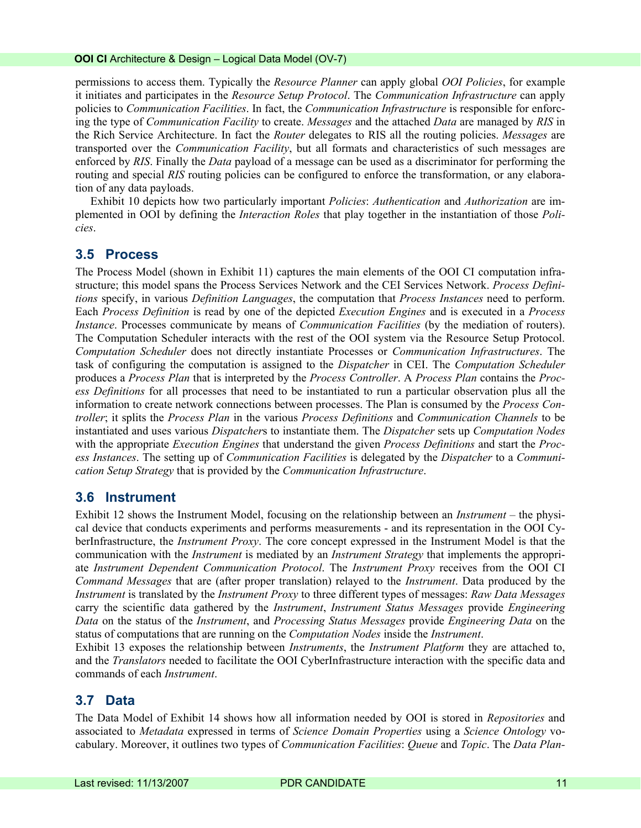<span id="page-10-0"></span>permissions to access them. Typically the *Resource Planner* can apply global *OOI Policies*, for example it initiates and participates in the *Resource Setup Protocol*. The *Communication Infrastructure* can apply policies to *Communication Facilities*. In fact, the *Communication Infrastructure* is responsible for enforcing the type of *Communication Facility* to create. *Messages* and the attached *Data* are managed by *RIS* in the Rich Service Architecture. In fact the *Router* delegates to RIS all the routing policies. *Messages* are transported over the *Communication Facility*, but all formats and characteristics of such messages are enforced by *RIS*. Finally the *Data* payload of a message can be used as a discriminator for performing the routing and special *RIS* routing policies can be configured to enforce the transformation, or any elaboration of any data payloads.

[Exhibit 10](#page-17-0) depicts how two particularly important *Policies*: *Authentication* and *Authorization* are implemented in OOI by defining the *Interaction Roles* that play together in the instantiation of those *Policies*.

#### **3.5 Process**

The Process Model (shown in [Exhibit 11](#page-18-0)) captures the main elements of the OOI CI computation infrastructure; this model spans the Process Services Network and the CEI Services Network. *Process Definitions* specify, in various *Definition Languages*, the computation that *Process Instances* need to perform. Each *Process Definition* is read by one of the depicted *Execution Engines* and is executed in a *Process Instance*. Processes communicate by means of *Communication Facilities* (by the mediation of routers). The Computation Scheduler interacts with the rest of the OOI system via the Resource Setup Protocol. *Computation Scheduler* does not directly instantiate Processes or *Communication Infrastructures*. The task of configuring the computation is assigned to the *Dispatcher* in CEI. The *Computation Scheduler* produces a *Process Plan* that is interpreted by the *Process Controller*. A *Process Plan* contains the *Process Definitions* for all processes that need to be instantiated to run a particular observation plus all the information to create network connections between processes. The Plan is consumed by the *Process Controller*; it splits the *Process Plan* in the various *Process Definitions* and *Communication Channels* to be instantiated and uses various *Dispatcher*s to instantiate them. The *Dispatcher* sets up *Computation Nodes* with the appropriate *Execution Engines* that understand the given *Process Definitions* and start the *Process Instances*. The setting up of *Communication Facilities* is delegated by the *Dispatcher* to a *Communication Setup Strategy* that is provided by the *Communication Infrastructure*.

#### **3.6 Instrument**

[Exhibit 12](#page-19-0) shows the Instrument Model, focusing on the relationship between an *Instrument* – the physical device that conducts experiments and performs measurements - and its representation in the OOI CyberInfrastructure, the *Instrument Proxy*. The core concept expressed in the Instrument Model is that the communication with the *Instrument* is mediated by an *Instrument Strategy* that implements the appropriate *Instrument Dependent Communication Protocol*. The *Instrument Proxy* receives from the OOI CI *Command Messages* that are (after proper translation) relayed to the *Instrument*. Data produced by the *Instrument* is translated by the *Instrument Proxy* to three different types of messages: *Raw Data Messages* carry the scientific data gathered by the *Instrument*, *Instrument Status Messages* provide *Engineering Data* on the status of the *Instrument*, and *Processing Status Messages* provide *Engineering Data* on the status of computations that are running on the *Computation Nodes* inside the *Instrument*.

[Exhibit 13](#page-20-0) exposes the relationship between *Instruments*, the *Instrument Platform* they are attached to, and the *Translators* needed to facilitate the OOI CyberInfrastructure interaction with the specific data and commands of each *Instrument*.

#### **3.7 Data**

The Data Model of [Exhibit 14](#page-21-0) shows how all information needed by OOI is stored in *Repositories* and associated to *Metadata* expressed in terms of *Science Domain Properties* using a *Science Ontology* vocabulary. Moreover, it outlines two types of *Communication Facilities*: *Queue* and *Topic*. The *Data Plan-*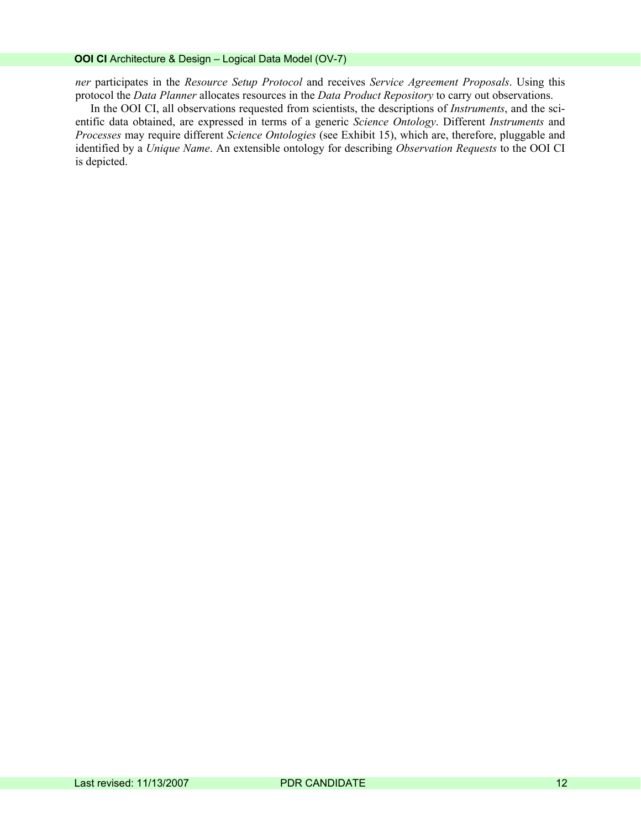*ner* participates in the *Resource Setup Protocol* and receives *Service Agreement Proposals*. Using this protocol the *Data Planner* allocates resources in the *Data Product Repository* to carry out observations.

In the OOI CI, all observations requested from scientists, the descriptions of *Instruments*, and the scientific data obtained, are expressed in terms of a generic *Science Ontology*. Different *Instruments* and *Processes* may require different *Science Ontologies* (see [Exhibit 15\)](#page-22-0), which are, therefore, pluggable and identified by a *Unique Name*. An extensible ontology for describing *Observation Requests* to the OOI CI is depicted.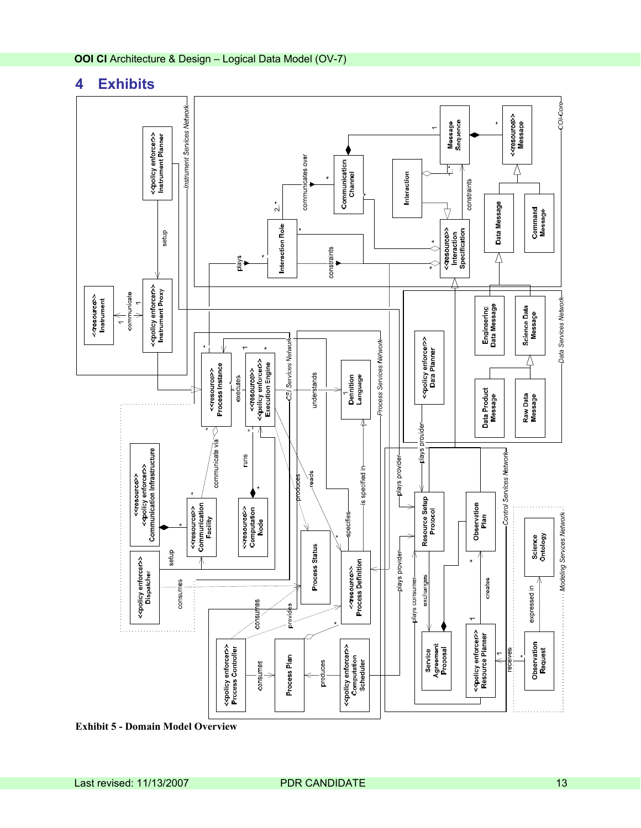# <span id="page-12-0"></span>**4 Exhibits**



<span id="page-12-1"></span>**Exhibit 5 - Domain Model Overview**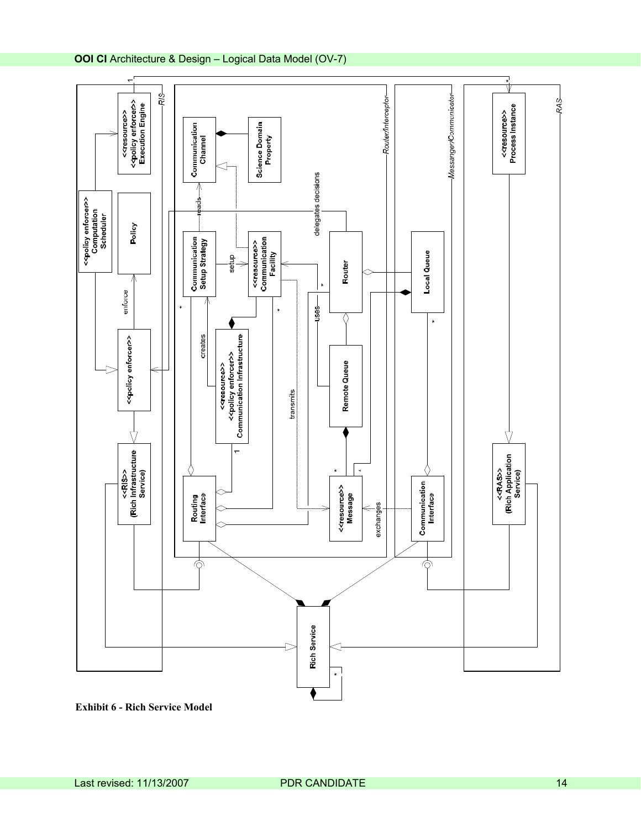

<span id="page-13-0"></span>**Exhibit 6 - Rich Service Model**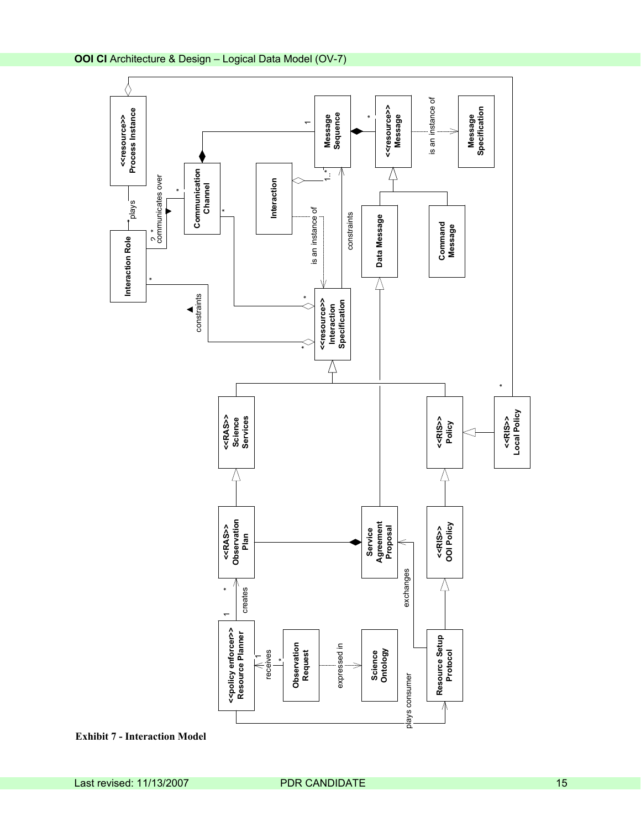

<span id="page-14-0"></span>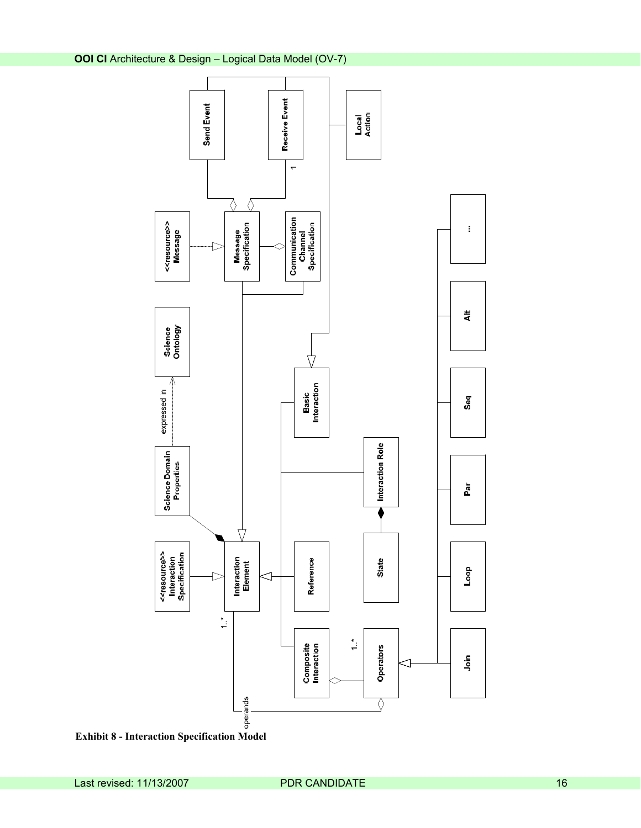

<span id="page-15-0"></span>**Exhibit 8 - Interaction Specification Model**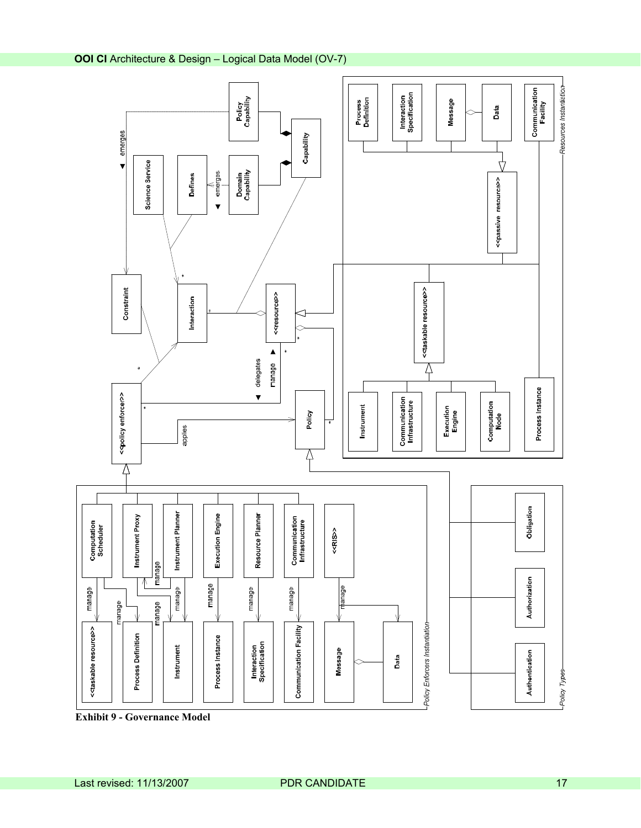

<span id="page-16-0"></span>**Exhibit 9 - Governance Model**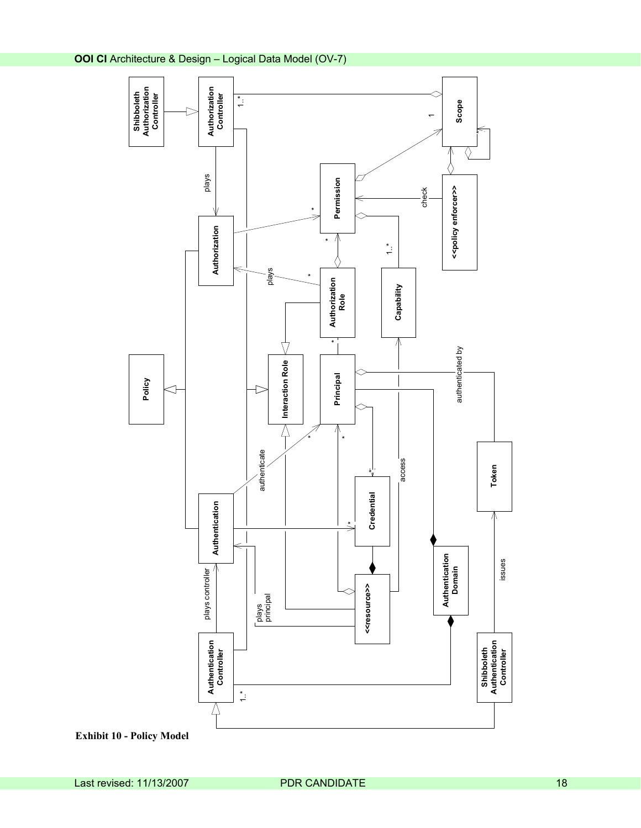

<span id="page-17-0"></span>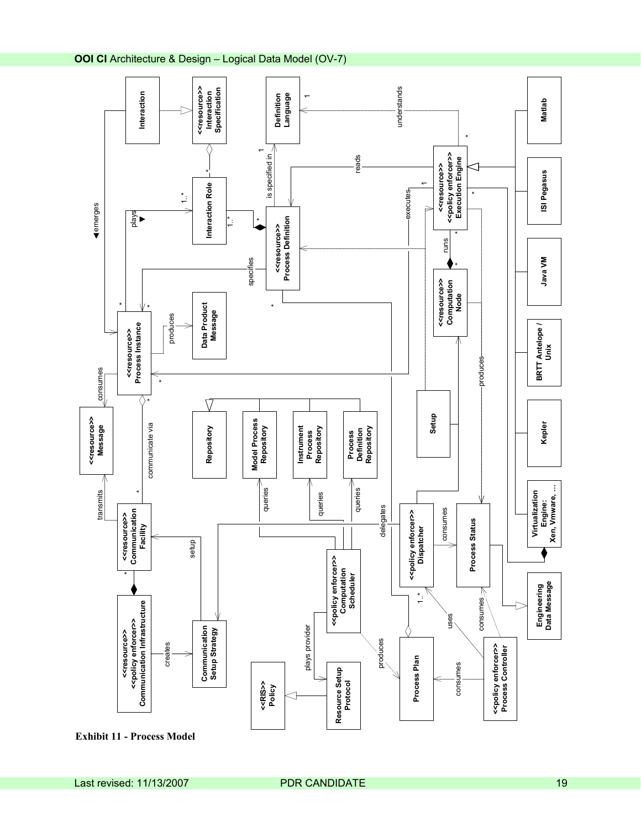

<span id="page-18-0"></span>Last revised: 11/13/2007 **PDR CANDIDATE** 1999 **PDR CANDIDATE** 1999 **1999**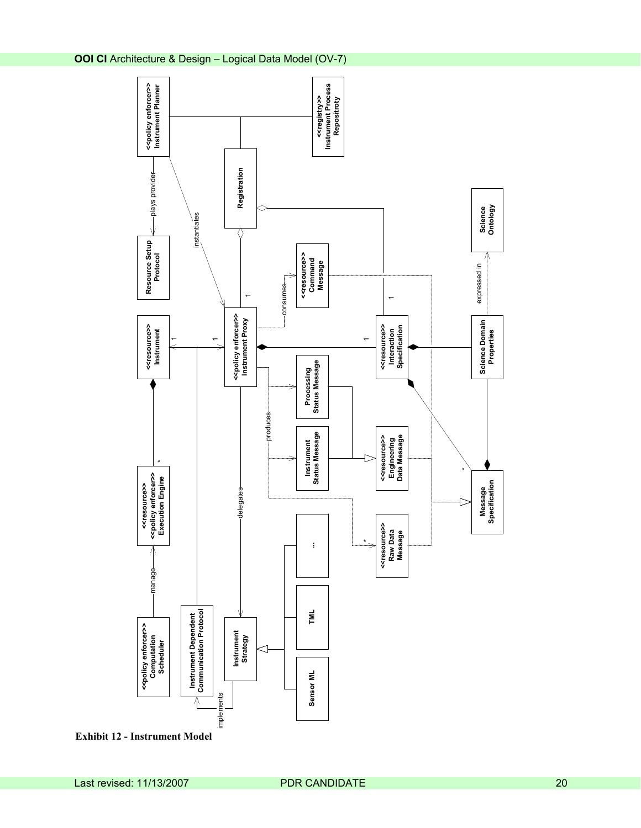

<span id="page-19-0"></span>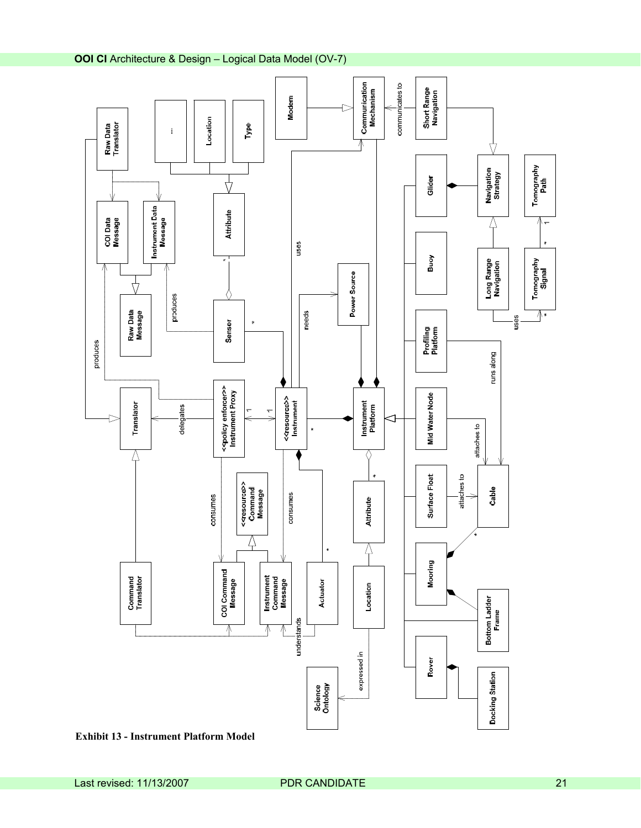

<span id="page-20-0"></span>**Exhibit 13 - Instrument Platform Model**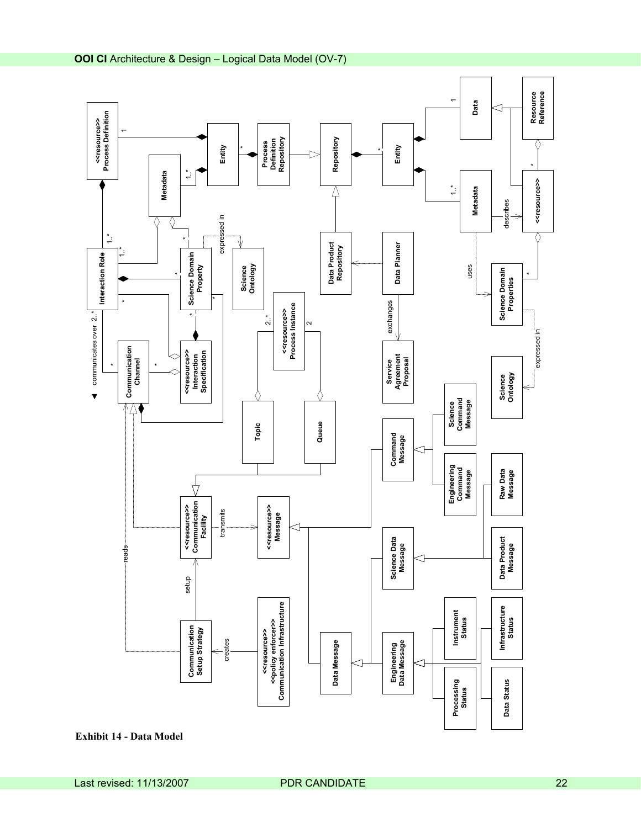

<span id="page-21-0"></span>**Exhibit 14 - Data Model**